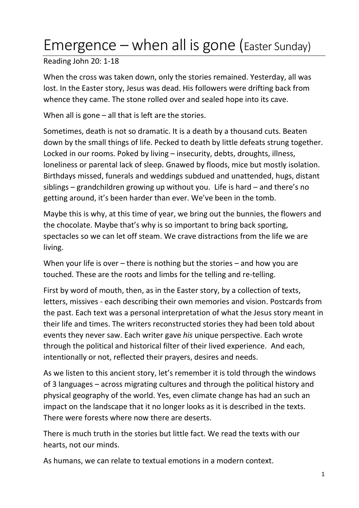## Emergence – when all is gone (Easter Sunday)

Reading John 20: 1-18

When the cross was taken down, only the stories remained. Yesterday, all was lost. In the Easter story, Jesus was dead. His followers were drifting back from whence they came. The stone rolled over and sealed hope into its cave.

When all is gone  $-$  all that is left are the stories.

Sometimes, death is not so dramatic. It is a death by a thousand cuts. Beaten down by the small things of life. Pecked to death by little defeats strung together. Locked in our rooms. Poked by living – insecurity, debts, droughts, illness, loneliness or parental lack of sleep. Gnawed by floods, mice but mostly isolation. Birthdays missed, funerals and weddings subdued and unattended, hugs, distant siblings – grandchildren growing up without you. Life is hard – and there's no getting around, it's been harder than ever. We've been in the tomb.

Maybe this is why, at this time of year, we bring out the bunnies, the flowers and the chocolate. Maybe that's why is so important to bring back sporting, spectacles so we can let off steam. We crave distractions from the life we are living.

When your life is over – there is nothing but the stories – and how you are touched. These are the roots and limbs for the telling and re-telling.

First by word of mouth, then, as in the Easter story, by a collection of texts, letters, missives - each describing their own memories and vision. Postcards from the past. Each text was a personal interpretation of what the Jesus story meant in their life and times. The writers reconstructed stories they had been told about events they never saw. Each writer gave *his* unique perspective. Each wrote through the political and historical filter of their lived experience. And each, intentionally or not, reflected their prayers, desires and needs.

As we listen to this ancient story, let's remember it is told through the windows of 3 languages – across migrating cultures and through the political history and physical geography of the world. Yes, even climate change has had an such an impact on the landscape that it no longer looks as it is described in the texts. There were forests where now there are deserts.

There is much truth in the stories but little fact. We read the texts with our hearts, not our minds.

As humans, we can relate to textual emotions in a modern context.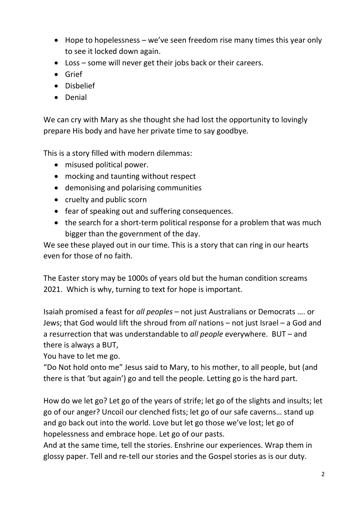- Hope to hopelessness we've seen freedom rise many times this year only to see it locked down again.
- Loss some will never get their jobs back or their careers.
- Grief
- Disbelief
- Denial

We can cry with Mary as she thought she had lost the opportunity to lovingly prepare His body and have her private time to say goodbye.

This is a story filled with modern dilemmas:

- misused political power.
- mocking and taunting without respect
- demonising and polarising communities
- cruelty and public scorn
- fear of speaking out and suffering consequences.
- the search for a short-term political response for a problem that was much bigger than the government of the day.

We see these played out in our time. This is a story that can ring in our hearts even for those of no faith.

The Easter story may be 1000s of years old but the human condition screams 2021. Which is why, turning to text for hope is important.

Isaiah promised a feast for *all peoples* – not just Australians or Democrats …. or Jews; that God would lift the shroud from *all* nations – not just Israel – a God and a resurrection that was understandable to *all people* everywhere. BUT – and there is always a BUT,

You have to let me go.

"Do Not hold onto me" Jesus said to Mary, to his mother, to all people, but (and there is that 'but again') go and tell the people. Letting go is the hard part.

How do we let go? Let go of the years of strife; let go of the slights and insults; let go of our anger? Uncoil our clenched fists; let go of our safe caverns… stand up and go back out into the world. Love but let go those we've lost; let go of hopelessness and embrace hope. Let go of our pasts.

And at the same time, tell the stories. Enshrine our experiences. Wrap them in glossy paper. Tell and re-tell our stories and the Gospel stories as is our duty.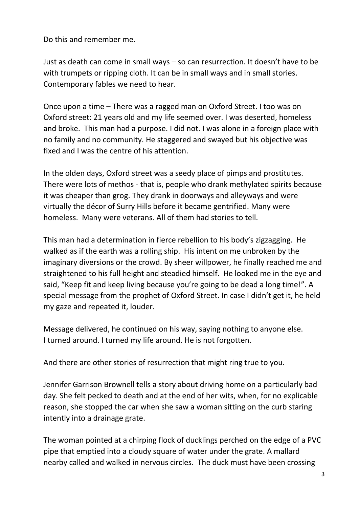Do this and remember me.

Just as death can come in small ways – so can resurrection. It doesn't have to be with trumpets or ripping cloth. It can be in small ways and in small stories. Contemporary fables we need to hear.

Once upon a time – There was a ragged man on Oxford Street. I too was on Oxford street: 21 years old and my life seemed over. I was deserted, homeless and broke. This man had a purpose. I did not. I was alone in a foreign place with no family and no community. He staggered and swayed but his objective was fixed and I was the centre of his attention.

In the olden days, Oxford street was a seedy place of pimps and prostitutes. There were lots of methos - that is, people who drank methylated spirits because it was cheaper than grog. They drank in doorways and alleyways and were virtually the décor of Surry Hills before it became gentrified. Many were homeless. Many were veterans. All of them had stories to tell.

This man had a determination in fierce rebellion to his body's zigzagging. He walked as if the earth was a rolling ship. His intent on me unbroken by the imaginary diversions or the crowd. By sheer willpower, he finally reached me and straightened to his full height and steadied himself. He looked me in the eye and said, "Keep fit and keep living because you're going to be dead a long time!". A special message from the prophet of Oxford Street. In case I didn't get it, he held my gaze and repeated it, louder.

Message delivered, he continued on his way, saying nothing to anyone else. I turned around. I turned my life around. He is not forgotten.

And there are other stories of resurrection that might ring true to you.

Jennifer Garrison Brownell tells a story about driving home on a particularly bad day. She felt pecked to death and at the end of her wits, when, for no explicable reason, she stopped the car when she saw a woman sitting on the curb staring intently into a drainage grate.

The woman pointed at a chirping flock of ducklings perched on the edge of a PVC pipe that emptied into a cloudy square of water under the grate. A mallard nearby called and walked in nervous circles. The duck must have been crossing